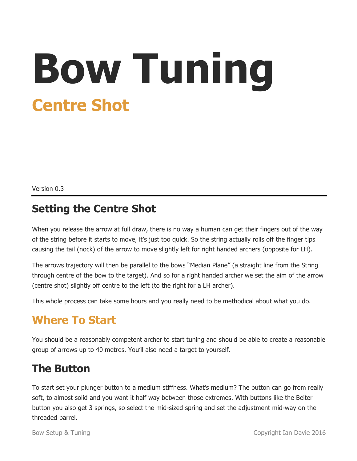# **Bow Tuning Centre Shot**

Version 0.3

#### **Setting the Centre Shot**

When you release the arrow at full draw, there is no way a human can get their fingers out of the way of the string before it starts to move, it's just too quick. So the string actually rolls off the finger tips causing the tail (nock) of the arrow to move slightly left for right handed archers (opposite for LH).

The arrows trajectory will then be parallel to the bows "Median Plane" (a straight line from the String through centre of the bow to the target). And so for a right handed archer we set the aim of the arrow (centre shot) slightly off centre to the left (to the right for a LH archer).

This whole process can take some hours and you really need to be methodical about what you do.

#### **Where To Start**

You should be a reasonably competent archer to start tuning and should be able to create a reasonable group of arrows up to 40 metres. You'll also need a target to yourself.

#### **The Button**

To start set your plunger button to a medium stiffness. What's medium? The button can go from really soft, to almost solid and you want it half way between those extremes. With buttons like the Beiter button you also get 3 springs, so select the mid-sized spring and set the adjustment mid-way on the threaded barrel.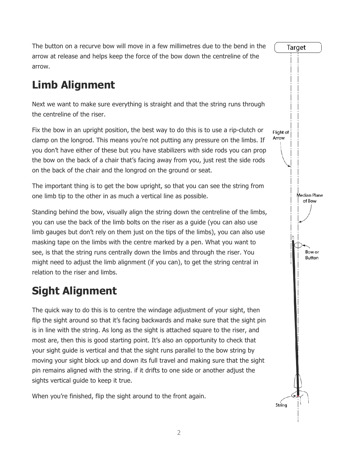The button on a recurve bow will move in a few millimetres due to the bend in the arrow at release and helps keep the force of the bow down the centreline of the arrow.

# **Limb Alignment**

Next we want to make sure everything is straight and that the string runs through the centreline of the riser.

Fix the bow in an upright position, the best way to do this is to use a rip-clutch or clamp on the longrod. This means you're not putting any pressure on the limbs. If you don't have either of these but you have stabilizers with side rods you can prop the bow on the back of a chair that's facing away from you, just rest the side rods on the back of the chair and the longrod on the ground or seat.

The important thing is to get the bow upright, so that you can see the string from one limb tip to the other in as much a vertical line as possible.

Standing behind the bow, visually align the string down the centreline of the limbs, you can use the back of the limb bolts on the riser as a guide (you can also use limb gauges but don't rely on them just on the tips of the limbs), you can also use masking tape on the limbs with the centre marked by a pen. What you want to see, is that the string runs centrally down the limbs and through the riser. You might need to adjust the limb alignment (if you can), to get the string central in relation to the riser and limbs.

# **Sight Alignment**

The quick way to do this is to centre the windage adjustment of your sight, then flip the sight around so that it's facing backwards and make sure that the sight pin is in line with the string. As long as the sight is attached square to the riser, and most are, then this is good starting point. It's also an opportunity to check that your sight guide is vertical and that the sight runs parallel to the bow string by moving your sight block up and down its full travel and making sure that the sight pin remains aligned with the string. if it drifts to one side or another adjust the sights vertical guide to keep it true.

When you're finished, flip the sight around to the front again.

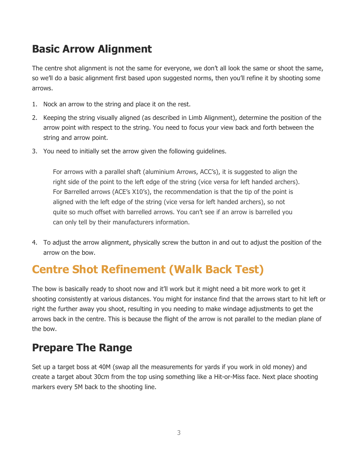# **Basic Arrow Alignment**

The centre shot alignment is not the same for everyone, we don't all look the same or shoot the same, so we'll do a basic alignment first based upon suggested norms, then you'll refine it by shooting some arrows.

- 1. Nock an arrow to the string and place it on the rest.
- 2. Keeping the string visually aligned (as described in Limb Alignment), determine the position of the arrow point with respect to the string. You need to focus your view back and forth between the string and arrow point.
- 3. You need to initially set the arrow given the following guidelines.

For arrows with a parallel shaft (aluminium Arrows, ACC's), it is suggested to align the right side of the point to the left edge of the string (vice versa for left handed archers). For Barrelled arrows (ACE's X10's), the recommendation is that the tip of the point is aligned with the left edge of the string (vice versa for left handed archers), so not quite so much offset with barrelled arrows. You can't see if an arrow is barrelled you can only tell by their manufacturers information.

4. To adjust the arrow alignment, physically screw the button in and out to adjust the position of the arrow on the bow.

# **Centre Shot Refinement (Walk Back Test)**

The bow is basically ready to shoot now and it'll work but it might need a bit more work to get it shooting consistently at various distances. You might for instance find that the arrows start to hit left or right the further away you shoot, resulting in you needing to make windage adjustments to get the arrows back in the centre. This is because the flight of the arrow is not parallel to the median plane of the bow.

#### **Prepare The Range**

Set up a target boss at 40M (swap all the measurements for yards if you work in old money) and create a target about 30cm from the top using something like a Hit-or-Miss face. Next place shooting markers every 5M back to the shooting line.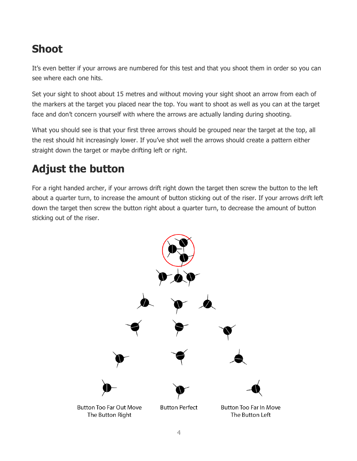### **Shoot**

It's even better if your arrows are numbered for this test and that you shoot them in order so you can see where each one hits.

Set your sight to shoot about 15 metres and without moving your sight shoot an arrow from each of the markers at the target you placed near the top. You want to shoot as well as you can at the target face and don't concern yourself with where the arrows are actually landing during shooting.

What you should see is that your first three arrows should be grouped near the target at the top, all the rest should hit increasingly lower. If you've shot well the arrows should create a pattern either straight down the target or maybe drifting left or right.

### **Adjust the button**

For a right handed archer, if your arrows drift right down the target then screw the button to the left about a quarter turn, to increase the amount of button sticking out of the riser. If your arrows drift left down the target then screw the button right about a quarter turn, to decrease the amount of button sticking out of the riser.

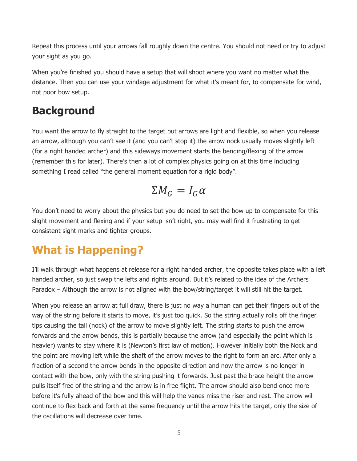Repeat this process until your arrows fall roughly down the centre. You should not need or try to adjust your sight as you go.

When you're finished you should have a setup that will shoot where you want no matter what the distance. Then you can use your windage adjustment for what it's meant for, to compensate for wind, not poor bow setup.

#### **Background**

You want the arrow to fly straight to the target but arrows are light and flexible, so when you release an arrow, although you can't see it (and you can't stop it) the arrow nock usually moves slightly left (for a right handed archer) and this sideways movement starts the bending/flexing of the arrow (remember this for later). There's then a lot of complex physics going on at this time including something I read called "the general moment equation for a rigid body".

$$
\Sigma M_G = I_G \alpha
$$

You don't need to worry about the physics but you do need to set the bow up to compensate for this slight movement and flexing and if your setup isn't right, you may well find it frustrating to get consistent sight marks and tighter groups.

# **What is Happening?**

I'll walk through what happens at release for a right handed archer, the opposite takes place with a left handed archer, so just swap the lefts and rights around. But it's related to the idea of the Archers Paradox – Although the arrow is not aligned with the bow/string/target it will still hit the target.

When you release an arrow at full draw, there is just no way a human can get their fingers out of the way of the string before it starts to move, it's just too quick. So the string actually rolls off the finger tips causing the tail (nock) of the arrow to move slightly left. The string starts to push the arrow forwards and the arrow bends, this is partially because the arrow (and especially the point which is heavier) wants to stay where it is (Newton's first law of motion). However initially both the Nock and the point are moving left while the shaft of the arrow moves to the right to form an arc. After only a fraction of a second the arrow bends in the opposite direction and now the arrow is no longer in contact with the bow, only with the string pushing it forwards. Just past the brace height the arrow pulls itself free of the string and the arrow is in free flight. The arrow should also bend once more before it's fully ahead of the bow and this will help the vanes miss the riser and rest. The arrow will continue to flex back and forth at the same frequency until the arrow hits the target, only the size of the oscillations will decrease over time.